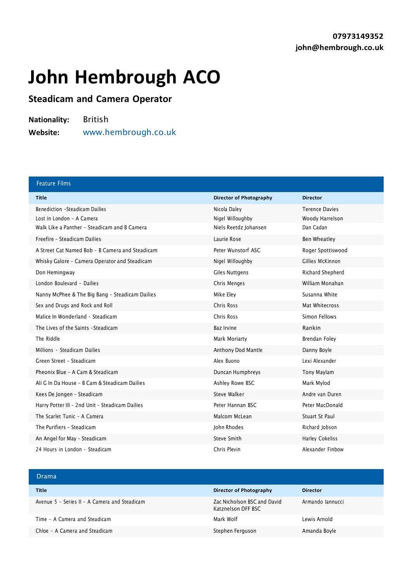## **John Hembrough ACO**

## **Steadicam and Camera Operator**

**Nationality:** British **Website:** [www.hembrough.co.uk](http://www.hembrough.co.uk/)

| <b>Feature Films</b>                            |                                |                       |
|-------------------------------------------------|--------------------------------|-----------------------|
| <b>Title</b>                                    | <b>Director of Photography</b> | <b>Director</b>       |
| <b>Benediction -Steadicam Dailies</b>           | Nicola Daley                   | <b>Terence Davies</b> |
| Lost in London - A Camera                       | Nigel Willoughby               | Woody Harrelson       |
| Walk Like a Panther - Steadicam and B Camera    | Niels Reetdz Johansen          | Dan Cadan             |
| Freefire - Steadicam Dailies                    | Laurie Rose                    | Ben Wheatley          |
| A Street Cat Named Bob - B Camera and Steadicam | Peter Wunstorf ASC             | Roger Spottiswood     |
| Whisky Galore - Camera Operator and Steadicam   | Nigel Willoughby               | Gillies McKinnon      |
| Don Hemingway                                   | Giles Nuttgens                 | Richard Shepherd      |
| London Boulevard - Dailies                      | Chris Menges                   | William Monahan       |
| Nanny McPhee & The Big Bang - Steadicam Dailies | Mike Eley                      | Susanna White         |
| Sex and Drugs and Rock and Roll                 | Chris Ross                     | Mat Whitecross        |
| Malice In Wonderland - Steadicam                | Chris Ross                     | Simon Fellows         |
| The Lives of the Saints - Steadicam             | <b>Baz Irvine</b>              | Rankin                |
| The Riddle                                      | Mark Moriarty                  | Brendan Foley         |
| Millions - Steadicam Dailies                    | Anthony Dod Mantle             | Danny Boyle           |
| Green Street - Steadicam                        | Alex Buono                     | Lexi Alexander        |
| Pheonix Blue - A Cam & Steadicam                | Duncan Humphreys               | Tony Maylam           |
| Ali G In Da House - B Cam & Steadicam Dailies   | Ashley Rowe BSC                | Mark Mylod            |
| Kees De Jongen - Steadicam                      | Steve Walker                   | Andre van Duren       |
| Harry Potter III - 2nd Unit - Steadicam Dailies | Peter Hannan BSC               | Peter MacDonald       |
| The Scarlet Tunic - A Camera                    | Malcom McLean                  | Stuart St Paul        |
| The Purifiers - Steadicam                       | John Rhodes                    | Richard Jobson        |
| An Angel for May - Steadicam                    | Steve Smith                    | Harley Cokeliss       |
| 24 Hours in London - Steadicam                  | Chris Plevin                   | Alexander Finbow      |

| Drama                                         |                                                   |                  |
|-----------------------------------------------|---------------------------------------------------|------------------|
| <b>Title</b>                                  | <b>Director of Photography</b>                    | <b>Director</b>  |
| Avenue 5 - Series II - A Camera and Steadicam | Zac Nicholson BSC and David<br>Katznelson DFF BSC | Armando lannucci |
| Time - A Camera and Steadicam                 | Mark Wolf                                         | Lewis Arnold     |
| Chloe - A Camera and Steadicam                | Stephen Ferguson                                  | Amanda Boyle     |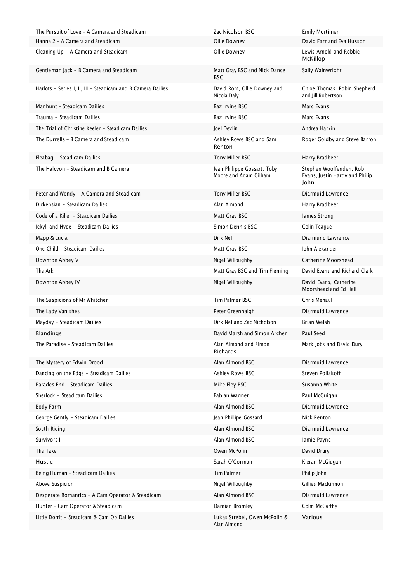The Pursuit of Love - A Camera and Steadicam The Cacamera Zac Nicolson BSC Emily Mortimer Gentleman Jack - B Camera and Steadicam Matt Gray BSC and Nick Dance Harlots - Series I, II, III - Steadicam and B Camera Dailies **David Rom, Ollie Downey and** Manhunt - Steadicam Dailies **Baz Irvine BSC Manhunt - Steadicam Dailies** Baz Irvine BSC Marc Evans Trauma - Steadicam Dailies Baz Irvine BSC Marc Evans The Trial of Christine Keeler - Steadicam Dailies Joel Devlin Joel Devlin Andrea Harkin Andrea Harkin Andrea Harkin The Durrells - B Camera and Steadicam Ashley Rowe BSC and Sam Fleabag - Steadicam Dailies Tony Miller BSC Fleabag - Steading Bradbeer The Halcyon - Steadicam and B Camera Jean Philippe Gossart, Toby Dickensian - Steadicam Dailies Alan Almond Harry Bradbeer Code of a Killer - Steadicam Dailies Matt Gray BSC and Matt Gray BSC James Strong Jekyll and Hyde - Steadicam Dailies Simon Dennis BSC Colin Teague One Child - Steadicam Dailies **Matt Gray BSC** Matt Gray BSC John Alexander The Suspicions of Mr Whitcher II The Suspicions of Mr Whitcher II Tim Palmer BSC The Suspicions of Mr Whitcher II Mayday - Steadicam Dailies Dirk Nel and Zac Nicholson Brian Welsh Blandings David Marsh and Simon Archer Paul Seed The Paradise - Steadicam Dailies Alan Almond and Simon Dancing on the Edge - Steadicam Dailies Ashley Rowe BSC Steven Poliakoff Parades End – Steadicam Dailies Mike Eley BSC Number of Susanna White Susanna White Eley BSC Susanna White Susanna White Susanna White Susanna White Susanna White Susanna White Susanna White Susanna White Susanna White Sus Sherlock - Steadicam Dailies Fabian Wagner Fabian Wagner Paul McGuigan Paul McGuigan George Gently - Steadicam Dailies **Jean Phillipe Gossard** Nick Renton Survivors II Alan Almond BSC Jamie Payne Jamie Payne The Take Owen McPolin David Drury Hustle Sarah O'Gorman Kieran McGiugan Being Human - Steadicam Dailies Tim Palmer Tim Palmer Philip John Philip John Above Suspicion **Above Suspicion** Culture of the Milloughby Cillies MacKinnon Nigel Willoughby **Gillies MacKinnon** Hunter - Cam Operator & Steadicam and Damian Bromley Colm McCarthy Colm McCarthy

Hanna 2 - A Camera and Steadicam Ollie Downey David Farr and Eva Husson Cleaning Up - A Camera and Steadicam and Steadicam Clie Downey Cleaning Up - A Camera and Robbie McKillop **BSC** Sally Wainwright Nicola Daly Chloe Thomas. Robin Shepherd and Jill Robertson Renton Roger Goldby and Steve Barron Moore and Adam Gilham Stephen Woolfenden, Rob Evans, Justin Hardy and Philip John Peter and Wendy - A Camera and Steadicam Tomy Miller BSC Tony Miller BSC Diarmuid Lawrence Mapp & Lucia **Direct Contract Contract Contract Contract Contract Contract Contract Dirk Nel Direct Contract Contract Contract Contract Contract Contract Contract Contract Contract Contract Contract Contract Contract Contr** Downton Abbey V **Nigel Willoughby** Catherine Moorshead The Ark The Ark Matt Gray BSC and Tim Fleming David Evans and Richard Clark The Ark Matt Gray BSC and Tim Fleming Downton Abbey IV Nigel Willoughby Nigel Willoughby David Evans, Catherine Moorshead and Ed Hall The Lady Vanishes Peter Greenhalgh Diarmuid Lawrence Richards Mark Jobs and David Dury The Mystery of Edwin Drood Alan Almond BSC Diarmuid Lawrence Body Farm Alan Almond BSC Diarmuid Lawrence South Riding **South Riding Alan Almond BSC** Diarmuid Lawrence Desperate Romantics - A Cam Operator & Steadicam Alan Almond BSC Alan Almond BSC Diarmuid Lawrence Little Dorrit - Steadicam & Cam Op Dailies Lukas Strebel, Owen McPolin & Alan Almond Various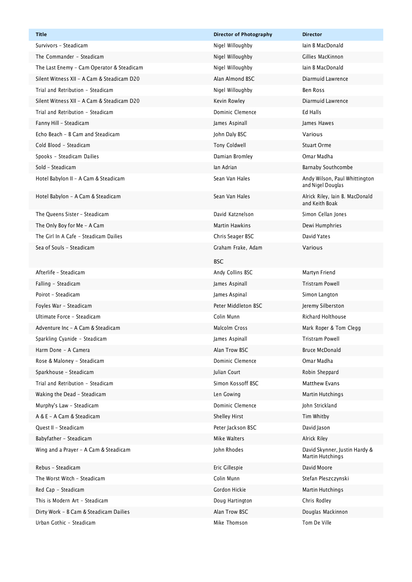| <b>Title</b>                               | <b>Director of Photography</b> | <b>Director</b>                                    |
|--------------------------------------------|--------------------------------|----------------------------------------------------|
| Survivors - Steadicam                      | Nigel Willoughby               | lain B MacDonald                                   |
| The Commander - Steadicam                  | Nigel Willoughby               | Gillies MacKinnon                                  |
| The Last Enemy - Cam Operator & Steadicam  | Nigel Willoughby               | lain B MacDonald                                   |
| Silent Witness XII - A Cam & Steadicam D20 | Alan Almond BSC                | Diarmuid Lawrence                                  |
| Trial and Retribution - Steadicam          | Nigel Willoughby               | Ben Ross                                           |
| Silent Witness XII - A Cam & Steadicam D20 | Kevin Rowley                   | Diarmuid Lawrence                                  |
| Trial and Retribution - Steadicam          | Dominic Clemence               | Ed Halls                                           |
| Fanny Hill - Steadicam                     | James Aspinall                 | James Hawes                                        |
| Echo Beach - B Cam and Steadicam           | John Daly BSC                  | Various                                            |
| Cold Blood - Steadicam                     | Tony Coldwell                  | <b>Stuart Orme</b>                                 |
| Spooks - Steadicam Dailies                 | Damian Bromley                 | Omar Madha                                         |
| Sold - Steadicam                           | lan Adrian                     | Barnaby Southcombe                                 |
| Hotel Babylon II - A Cam & Steadicam       | Sean Van Hales                 | Andy Wilson, Paul Whittington<br>and Nigel Douglas |
| Hotel Babylon - A Cam & Steadicam          | Sean Van Hales                 | Alrick Riley, Iain B. MacDonald<br>and Keith Boak  |
| The Oueens Sister - Steadicam              | David Katznelson               | Simon Cellan Jones                                 |
| The Only Boy for Me - A Cam                | <b>Martin Hawkins</b>          | Dewi Humphries                                     |
| The Girl In A Cafe - Steadicam Dailies     | Chris Seager BSC               | David Yates                                        |
| Sea of Souls - Steadicam                   | Graham Frake, Adam             | Various                                            |
|                                            | <b>BSC</b>                     |                                                    |
| Afterlife - Steadicam                      | Andy Collins BSC               | Martyn Friend                                      |
| Falling - Steadicam                        | James Aspinall                 | <b>Tristram Powell</b>                             |
| Poirot - Steadicam                         | James Aspinal                  | Simon Langton                                      |
| Foyles War - Steadicam                     | Peter Middleton BSC            | Jeremy Silberston                                  |
| Ultimate Force - Steadicam                 | Colin Munn                     | <b>Richard Holthouse</b>                           |
| Adventure Inc - A Cam & Steadicam          | Malcolm Cross                  | Mark Roper & Tom Clegg                             |
| Sparkling Cyanide - Steadicam              | James Aspinall                 | <b>Tristram Powell</b>                             |
| Harm Done - A Camera                       | Alan Trow BSC                  | <b>Bruce McDonald</b>                              |
| Rose & Maloney - Steadicam                 | Dominic Clemence               | Omar Madha                                         |
| Sparkhouse - Steadicam                     | Julian Court                   | Robin Sheppard                                     |
| Trial and Retribution - Steadicam          | Simon Kossoff BSC              | Matthew Evans                                      |
| Waking the Dead - Steadicam                | Len Gowing                     | Martin Hutchings                                   |
| Murphy's Law - Steadicam                   | Dominic Clemence               | John Strickland                                    |
| A & E - A Cam & Steadicam                  | Shelley Hirst                  | Tim Whitby                                         |
| Quest II - Steadicam                       | Peter Jackson BSC              | David Jason                                        |
| Babyfather - Steadicam                     | Mike Walters                   | Alrick Riley                                       |
| Wing and a Prayer - A Cam & Steadicam      | John Rhodes                    | David Skynner, Justin Hardy &<br>Martin Hutchings  |
| Rebus - Steadicam                          | Eric Gillespie                 | David Moore                                        |
| The Worst Witch - Steadicam                | Colin Munn                     | Stefan Pleszczynski                                |
| Red Cap - Steadicam                        | Gordon Hickie                  | <b>Martin Hutchings</b>                            |
| This is Modern Art - Steadicam             | Doug Hartington                | Chris Rodley                                       |
| Dirty Work - B Cam & Steadicam Dailies     | Alan Trow BSC                  | Douglas Mackinnon                                  |
| Urban Gothic - Steadicam                   | Mike Thomson                   | Tom De Ville                                       |